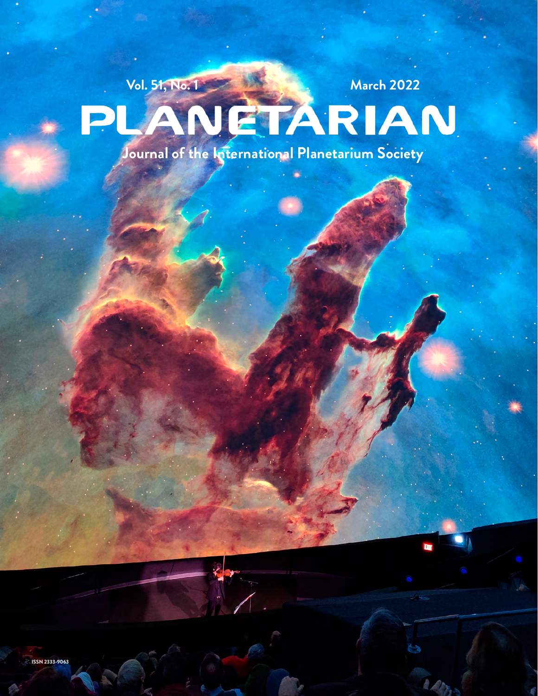# Vol. 51, No. 1<br>
PLANETARIAN

**Journal of the International Planetarium Society**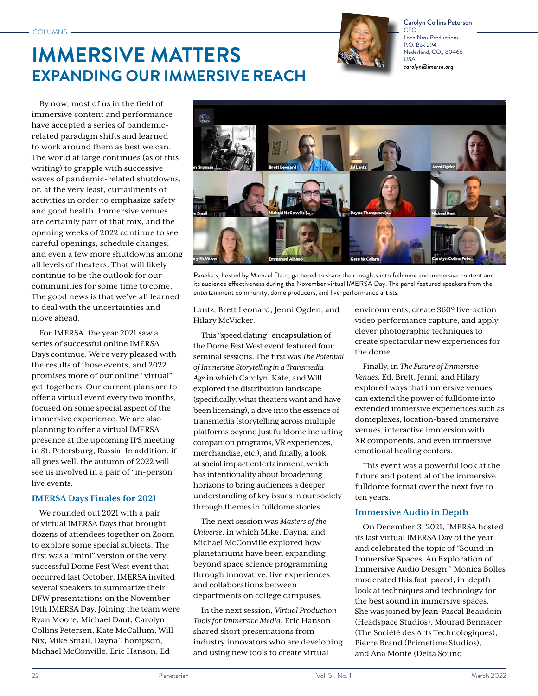# **IMMERSIVE MATTERS EXPANDING OUR IMMERSIVE REACH**



Carolyn Collins Peterson **CEC** Loch Ness Productions P.O. Box 294 Nederland, CO., 80466 USA *carolyn@imersa.org*

By now, most of us in the field of immersive content and performance have accepted a series of pandemicrelated paradigm shifts and learned to work around them as best we can. The world at large continues (as of this writing) to grapple with successive waves of pandemic-related shutdowns, or, at the very least, curtailments of activities in order to emphasize safety and good health. Immersive venues are certainly part of that mix, and the opening weeks of 2022 continue to see careful openings, schedule changes, and even a few more shutdowns among all levels of theaters. That will likely continue to be the outlook for our communities for some time to come. The good news is that we've all learned to deal with the uncertainties and move ahead.

For IMERSA, the year 2021 saw a series of successful online IMERSA Days continue. We're very pleased with the results of those events, and 2022 promises more of our online "virtual" get-togethers. Our current plans are to offer a virtual event every two months, focused on some special aspect of the immersive experience. We are also planning to offer a virtual IMERSA presence at the upcoming IPS meeting in St. Petersburg, Russia. In addition, if all goes well, the autumn of 2022 will see us involved in a pair of "in-person" live events.

## **IMERSA Days Finales for 2021**

We rounded out 2021 with a pair of virtual IMERSA Days that brought dozens of attendees together on Zoom to explore some special subjects. The first was a "mini" version of the very successful Dome Fest West event that occurred last October. IMERSA invited several speakers to summarize their DFW presentations on the November 19th IMERSA Day. Joining the team were Ryan Moore, Michael Daut, Carolyn Collins Petersen, Kate McCallum, Will Nix, Mike Smail, Dayna Thompson, Michael McConville, Eric Hanson, Ed



Panelists, hosted by Michael Daut, gathered to share their insights into fulldome and immersive content and its audience effectiveness during the November virtual IMERSA Day. The panel featured speakers from the entertainment community, dome producers, and live-performance artists.

Lantz, Brett Leonard, Jenni Ogden, and Hilary McVicker.

This "speed dating" encapsulation of the Dome Fest West event featured four seminal sessions. The first was *The Potential of Immersive Storytelling in a Transmedia Age* in which Carolyn, Kate, and Will explored the distribution landscape (specifically, what theaters want and have been licensing), a dive into the essence of transmedia (storytelling across multiple platforms beyond just fulldome including companion programs, VR experiences, merchandise, etc.), and finally, a look at social impact entertainment, which has intentionality about broadening horizons to bring audiences a deeper understanding of key issues in our society through themes in fulldome stories.

The next session was *Masters of the Universe*, in which Mike, Dayna, and Michael McConville explored how planetariums have been expanding beyond space science programming through innovative, live experiences and collaborations between departments on college campuses.

In the next session, *Virtual Production Tools for Immersive Media*, Eric Hanson shared short presentations from industry innovators who are developing and using new tools to create virtual

environments, create 360º live-action video performance capture, and apply clever photographic techniques to create spectacular new experiences for the dome.

Finally, in *The Future of Immersive Venues*, Ed, Brett, Jenni, and Hilary explored ways that immersive venues can extend the power of fulldome into extended immersive experiences such as domeplexes, location-based immersive venues, interactive immersion with XR components, and even immersive emotional healing centers.

This event was a powerful look at the future and potential of the immersive fulldome format over the next five to ten years.

# **Immersive Audio in Depth**

On December 3, 2021, IMERSA hosted its last virtual IMERSA Day of the year and celebrated the topic of "Sound in Immersive Spaces: An Exploration of Immersive Audio Design." Monica Bolles moderated this fast-paced, in-depth look at techniques and technology for the best sound in immersive spaces. She was joined by Jean-Pascal Beaudoin (Headspace Studios), Mourad Bennacer (The Société des Arts Technologiques), Pierre Brand (Primetime Studios), and Ana Monte (Delta Sound